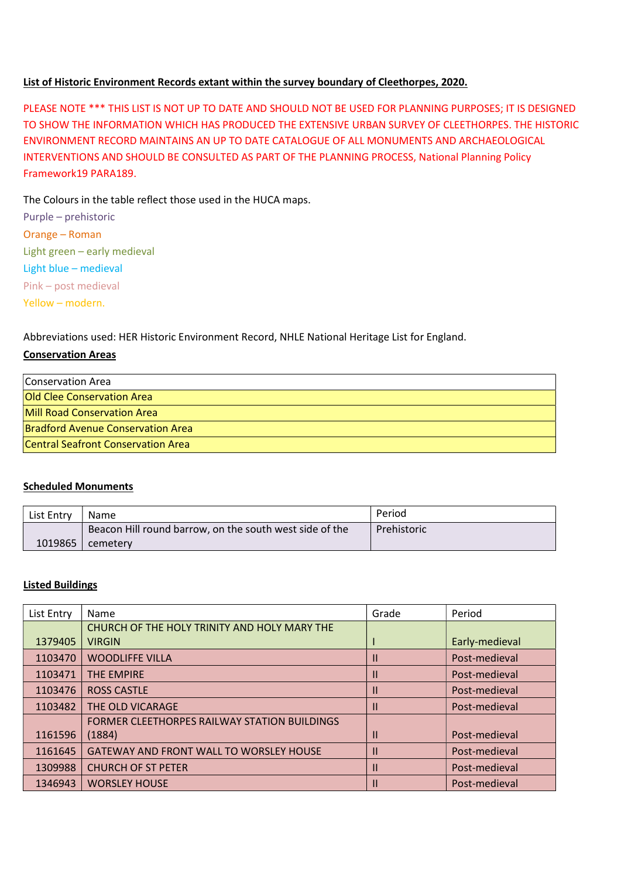## List of Historic Environment Records extant within the survey boundary of Cleethorpes, 2020.

PLEASE NOTE \*\*\* THIS LIST IS NOT UP TO DATE AND SHOULD NOT BE USED FOR PLANNING PURPOSES; IT IS DESIGNED TO SHOW THE INFORMATION WHICH HAS PRODUCED THE EXTENSIVE URBAN SURVEY OF CLEETHORPES. THE HISTORIC ENVIRONMENT RECORD MAINTAINS AN UP TO DATE CATALOGUE OF ALL MONUMENTS AND ARCHAEOLOGICAL INTERVENTIONS AND SHOULD BE CONSULTED AS PART OF THE PLANNING PROCESS, National Planning Policy Framework19 PARA189.

## The Colours in the table reflect those used in the HUCA maps.

Purple – prehistoric Orange – Roman Light green – early medieval Light blue – medieval Pink – post medieval Yellow – modern.

Abbreviations used: HER Historic Environment Record, NHLE National Heritage List for England.

## Conservation Areas

| Conservation Area                        |  |
|------------------------------------------|--|
| Old Clee Conservation Area               |  |
| Mill Road Conservation Area              |  |
| <b>Bradford Avenue Conservation Area</b> |  |
| Central Seafront Conservation Area       |  |

### Scheduled Monuments

| List Entry | <b>Name</b>                                             | Period      |
|------------|---------------------------------------------------------|-------------|
|            | Beacon Hill round barrow, on the south west side of the | Prehistoric |
| 1019865    | cemeterv                                                |             |

### Listed Buildings

| List Entry | Name                                                | Grade | Period         |
|------------|-----------------------------------------------------|-------|----------------|
|            | CHURCH OF THE HOLY TRINITY AND HOLY MARY THE        |       |                |
| 1379405    | <b>VIRGIN</b>                                       |       | Early-medieval |
| 1103470    | <b>WOODLIFFE VILLA</b>                              | Ш     | Post-medieval  |
| 1103471    | <b>THE EMPIRE</b>                                   | Ш     | Post-medieval  |
| 1103476    | <b>ROSS CASTLE</b>                                  | Ш     | Post-medieval  |
| 1103482    | THE OLD VICARAGE                                    | Ш     | Post-medieval  |
|            | <b>FORMER CLEETHORPES RAILWAY STATION BUILDINGS</b> |       |                |
| 1161596    | (1884)                                              | Ш     | Post-medieval  |
| 1161645    | <b>GATEWAY AND FRONT WALL TO WORSLEY HOUSE</b>      |       | Post-medieval  |
| 1309988    | <b>CHURCH OF ST PETER</b>                           | Ш     | Post-medieval  |
| 1346943    | <b>WORSLEY HOUSE</b>                                |       | Post-medieval  |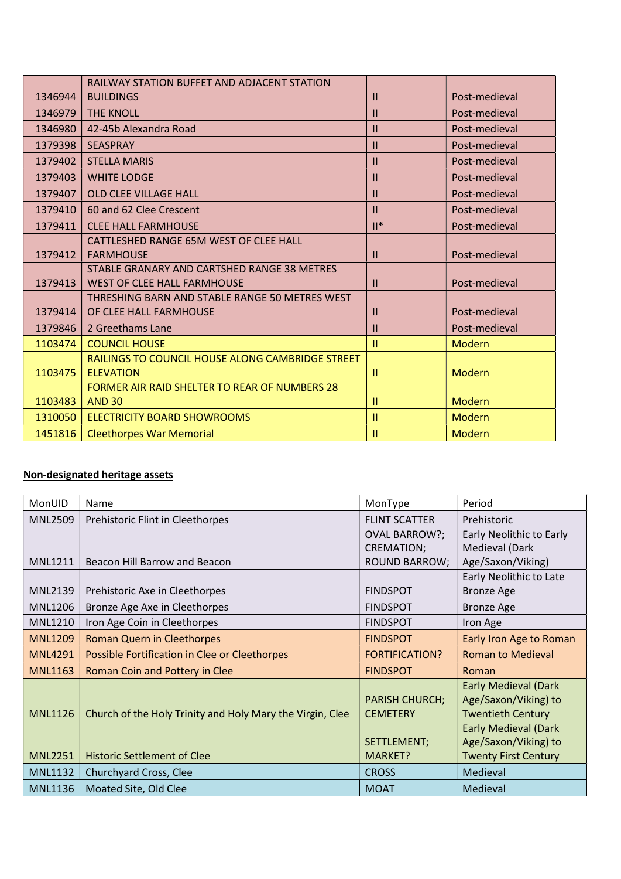|         | <b>RAILWAY STATION BUFFET AND ADJACENT STATION</b>   |               |               |
|---------|------------------------------------------------------|---------------|---------------|
| 1346944 | <b>BUILDINGS</b>                                     | $\mathbf{H}$  | Post-medieval |
| 1346979 | <b>THE KNOLL</b>                                     | $\mathbf{H}$  | Post-medieval |
| 1346980 | 42-45b Alexandra Road                                | $\mathbf{II}$ | Post-medieval |
| 1379398 | <b>SEASPRAY</b>                                      | $\mathbf{H}$  | Post-medieval |
| 1379402 | <b>STELLA MARIS</b>                                  | $\mathbf{H}$  | Post-medieval |
| 1379403 | <b>WHITE LODGE</b>                                   | $\mathbf{H}$  | Post-medieval |
| 1379407 | <b>OLD CLEE VILLAGE HALL</b>                         | $\mathbf{H}$  | Post-medieval |
| 1379410 | 60 and 62 Clee Crescent                              | $\mathbf{II}$ | Post-medieval |
| 1379411 | <b>CLEE HALL FARMHOUSE</b>                           | $II^*$        | Post-medieval |
|         | CATTLESHED RANGE 65M WEST OF CLEE HALL               |               |               |
| 1379412 | <b>FARMHOUSE</b>                                     | $\mathbf{H}$  | Post-medieval |
|         | STABLE GRANARY AND CARTSHED RANGE 38 METRES          |               |               |
| 1379413 | <b>WEST OF CLEE HALL FARMHOUSE</b>                   | $\mathbf{H}$  | Post-medieval |
|         | THRESHING BARN AND STABLE RANGE 50 METRES WEST       |               |               |
| 1379414 | OF CLEE HALL FARMHOUSE                               | $\mathbf{H}$  | Post-medieval |
| 1379846 | 2 Greethams Lane                                     | $\mathbf{H}$  | Post-medieval |
| 1103474 | <b>COUNCIL HOUSE</b>                                 | Ш             | Modern        |
|         | RAILINGS TO COUNCIL HOUSE ALONG CAMBRIDGE STREET     |               |               |
| 1103475 | <b>ELEVATION</b>                                     | Ħ             | Modern        |
|         | <b>FORMER AIR RAID SHELTER TO REAR OF NUMBERS 28</b> |               |               |
| 1103483 | <b>AND 30</b>                                        | $\mathbf{H}$  | Modern        |
| 1310050 | <b>ELECTRICITY BOARD SHOWROOMS</b>                   | Ш             | Modern        |
| 1451816 | <b>Cleethorpes War Memorial</b>                      | $\mathbf{H}$  | Modern        |

# Non-designated heritage assets

| <b>MonUID</b>  | Name                                                      | MonType               | Period                      |
|----------------|-----------------------------------------------------------|-----------------------|-----------------------------|
| <b>MNL2509</b> | Prehistoric Flint in Cleethorpes                          | <b>FLINT SCATTER</b>  | Prehistoric                 |
|                |                                                           | <b>OVAL BARROW?;</b>  | Early Neolithic to Early    |
|                |                                                           | <b>CREMATION;</b>     | Medieval (Dark              |
| <b>MNL1211</b> | Beacon Hill Barrow and Beacon                             | <b>ROUND BARROW;</b>  | Age/Saxon/Viking)           |
|                |                                                           |                       | Early Neolithic to Late     |
| <b>MNL2139</b> | Prehistoric Axe in Cleethorpes                            | <b>FINDSPOT</b>       | <b>Bronze Age</b>           |
| <b>MNL1206</b> | Bronze Age Axe in Cleethorpes                             | <b>FINDSPOT</b>       | <b>Bronze Age</b>           |
| <b>MNL1210</b> | Iron Age Coin in Cleethorpes                              | <b>FINDSPOT</b>       | Iron Age                    |
| <b>MNL1209</b> | <b>Roman Quern in Cleethorpes</b>                         | <b>FINDSPOT</b>       | Early Iron Age to Roman     |
| <b>MNL4291</b> | Possible Fortification in Clee or Cleethorpes             | <b>FORTIFICATION?</b> | <b>Roman to Medieval</b>    |
| <b>MNL1163</b> | <b>Roman Coin and Pottery in Clee</b>                     | <b>FINDSPOT</b>       | Roman                       |
|                |                                                           |                       | <b>Early Medieval (Dark</b> |
|                |                                                           | <b>PARISH CHURCH;</b> | Age/Saxon/Viking) to        |
| <b>MNL1126</b> | Church of the Holy Trinity and Holy Mary the Virgin, Clee | <b>CEMETERY</b>       | <b>Twentieth Century</b>    |
|                |                                                           |                       | <b>Early Medieval (Dark</b> |
|                |                                                           | SETTLEMENT;           | Age/Saxon/Viking) to        |
| <b>MNL2251</b> | <b>Historic Settlement of Clee</b>                        | MARKET?               | <b>Twenty First Century</b> |
| <b>MNL1132</b> | Churchyard Cross, Clee                                    | <b>CROSS</b>          | Medieval                    |
| <b>MNL1136</b> | Moated Site, Old Clee                                     | <b>MOAT</b>           | Medieval                    |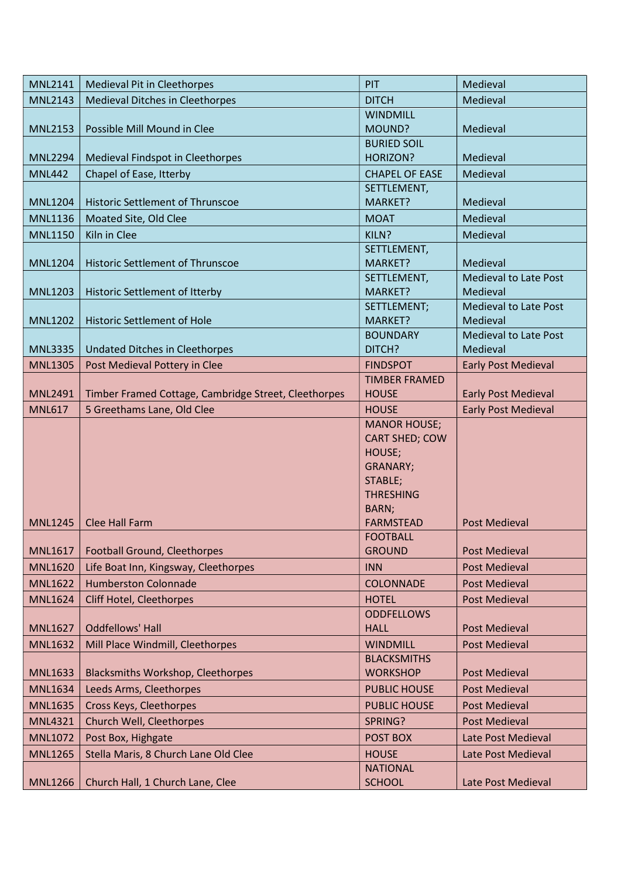| <b>MNL2141</b> | <b>Medieval Pit in Cleethorpes</b>                   | PIT                                  | Medieval                                 |
|----------------|------------------------------------------------------|--------------------------------------|------------------------------------------|
| <b>MNL2143</b> | Medieval Ditches in Cleethorpes                      | <b>DITCH</b>                         | Medieval                                 |
|                |                                                      | <b>WINDMILL</b>                      |                                          |
| <b>MNL2153</b> | Possible Mill Mound in Clee                          | MOUND?                               | Medieval                                 |
|                |                                                      | <b>BURIED SOIL</b>                   |                                          |
| <b>MNL2294</b> | Medieval Findspot in Cleethorpes                     | HORIZON?                             | Medieval                                 |
| <b>MNL442</b>  | Chapel of Ease, Itterby                              | <b>CHAPEL OF EASE</b>                | Medieval                                 |
|                |                                                      | SETTLEMENT,                          |                                          |
| <b>MNL1204</b> | Historic Settlement of Thrunscoe                     | MARKET?                              | Medieval                                 |
| <b>MNL1136</b> | Moated Site, Old Clee                                | <b>MOAT</b>                          | Medieval                                 |
| <b>MNL1150</b> | Kiln in Clee                                         | KILN?                                | Medieval                                 |
|                |                                                      | SETTLEMENT,                          |                                          |
| <b>MNL1204</b> | Historic Settlement of Thrunscoe                     | MARKET?                              | Medieval                                 |
|                |                                                      | SETTLEMENT,                          | <b>Medieval to Late Post</b>             |
| <b>MNL1203</b> | Historic Settlement of Itterby                       | MARKET?                              | Medieval                                 |
|                |                                                      | SETTLEMENT;                          | <b>Medieval to Late Post</b>             |
| <b>MNL1202</b> | <b>Historic Settlement of Hole</b>                   | MARKET?                              | Medieval                                 |
| <b>MNL3335</b> |                                                      | <b>BOUNDARY</b><br>DITCH?            | <b>Medieval to Late Post</b><br>Medieval |
|                | <b>Undated Ditches in Cleethorpes</b>                |                                      |                                          |
| <b>MNL1305</b> | Post Medieval Pottery in Clee                        | <b>FINDSPOT</b>                      | <b>Early Post Medieval</b>               |
| <b>MNL2491</b> | Timber Framed Cottage, Cambridge Street, Cleethorpes | <b>TIMBER FRAMED</b><br><b>HOUSE</b> | <b>Early Post Medieval</b>               |
|                |                                                      | <b>HOUSE</b>                         |                                          |
| <b>MNL617</b>  | 5 Greethams Lane, Old Clee                           | <b>MANOR HOUSE;</b>                  | <b>Early Post Medieval</b>               |
|                |                                                      | <b>CART SHED; COW</b>                |                                          |
|                |                                                      | HOUSE;                               |                                          |
|                |                                                      | <b>GRANARY;</b>                      |                                          |
|                |                                                      | STABLE;                              |                                          |
|                |                                                      | <b>THRESHING</b>                     |                                          |
|                |                                                      | BARN;                                |                                          |
| <b>MNL1245</b> | <b>Clee Hall Farm</b>                                | <b>FARMSTEAD</b>                     | <b>Post Medieval</b>                     |
|                |                                                      | <b>FOOTBALL</b>                      |                                          |
| <b>MNL1617</b> | <b>Football Ground, Cleethorpes</b>                  | <b>GROUND</b>                        | <b>Post Medieval</b>                     |
| <b>MNL1620</b> | Life Boat Inn, Kingsway, Cleethorpes                 | <b>INN</b>                           | <b>Post Medieval</b>                     |
| <b>MNL1622</b> | <b>Humberston Colonnade</b>                          | <b>COLONNADE</b>                     | <b>Post Medieval</b>                     |
| <b>MNL1624</b> | Cliff Hotel, Cleethorpes                             | <b>HOTEL</b>                         | <b>Post Medieval</b>                     |
|                |                                                      | <b>ODDFELLOWS</b>                    |                                          |
| <b>MNL1627</b> | <b>Oddfellows' Hall</b>                              | <b>HALL</b>                          | <b>Post Medieval</b>                     |
| <b>MNL1632</b> | Mill Place Windmill, Cleethorpes                     | <b>WINDMILL</b>                      | <b>Post Medieval</b>                     |
|                |                                                      | <b>BLACKSMITHS</b>                   |                                          |
| <b>MNL1633</b> | <b>Blacksmiths Workshop, Cleethorpes</b>             | <b>WORKSHOP</b>                      | <b>Post Medieval</b>                     |
| <b>MNL1634</b> | Leeds Arms, Cleethorpes                              | <b>PUBLIC HOUSE</b>                  | <b>Post Medieval</b>                     |
| <b>MNL1635</b> | Cross Keys, Cleethorpes                              | <b>PUBLIC HOUSE</b>                  | <b>Post Medieval</b>                     |
| <b>MNL4321</b> | Church Well, Cleethorpes                             | SPRING?                              | <b>Post Medieval</b>                     |
| <b>MNL1072</b> | Post Box, Highgate                                   | POST BOX                             | Late Post Medieval                       |
| <b>MNL1265</b> | Stella Maris, 8 Church Lane Old Clee                 | <b>HOUSE</b>                         | Late Post Medieval                       |
|                |                                                      | <b>NATIONAL</b>                      |                                          |
| <b>MNL1266</b> | Church Hall, 1 Church Lane, Clee                     | <b>SCHOOL</b>                        | Late Post Medieval                       |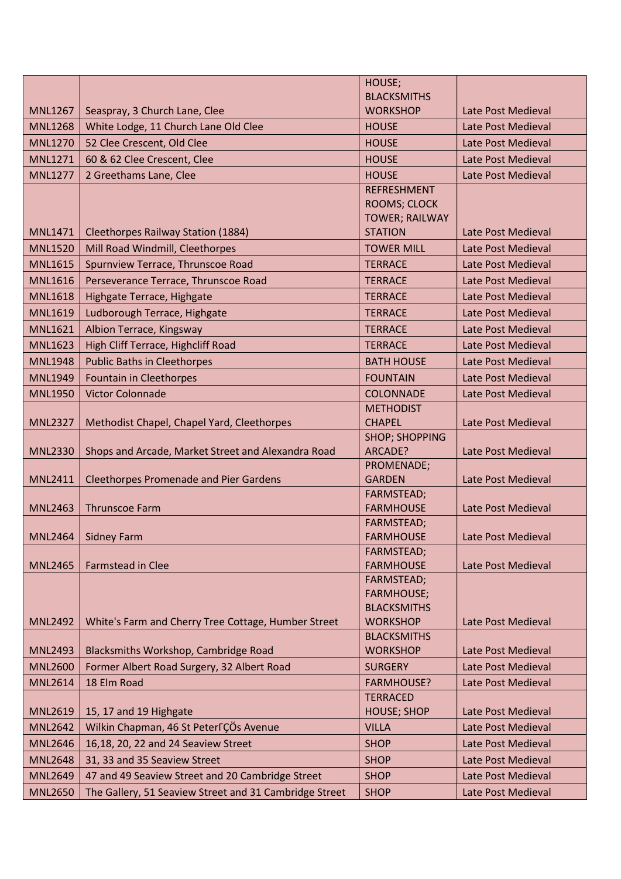|                |                                                        | HOUSE;                                  |                    |
|----------------|--------------------------------------------------------|-----------------------------------------|--------------------|
|                |                                                        | <b>BLACKSMITHS</b>                      |                    |
| <b>MNL1267</b> | Seaspray, 3 Church Lane, Clee                          | <b>WORKSHOP</b>                         | Late Post Medieval |
| <b>MNL1268</b> | White Lodge, 11 Church Lane Old Clee                   | <b>HOUSE</b>                            | Late Post Medieval |
| <b>MNL1270</b> | 52 Clee Crescent, Old Clee                             | <b>HOUSE</b>                            | Late Post Medieval |
| <b>MNL1271</b> | 60 & 62 Clee Crescent, Clee                            | <b>HOUSE</b>                            | Late Post Medieval |
| <b>MNL1277</b> | 2 Greethams Lane, Clee                                 | <b>HOUSE</b>                            | Late Post Medieval |
|                |                                                        | <b>REFRESHMENT</b>                      |                    |
|                |                                                        | ROOMS; CLOCK                            |                    |
| <b>MNL1471</b> | <b>Cleethorpes Railway Station (1884)</b>              | <b>TOWER; RAILWAY</b><br><b>STATION</b> | Late Post Medieval |
| <b>MNL1520</b> |                                                        | <b>TOWER MILL</b>                       | Late Post Medieval |
| <b>MNL1615</b> | Mill Road Windmill, Cleethorpes                        | <b>TERRACE</b>                          |                    |
|                | Spurnview Terrace, Thrunscoe Road                      |                                         | Late Post Medieval |
| <b>MNL1616</b> | Perseverance Terrace, Thrunscoe Road                   | <b>TERRACE</b>                          | Late Post Medieval |
| <b>MNL1618</b> | Highgate Terrace, Highgate                             | <b>TERRACE</b>                          | Late Post Medieval |
| <b>MNL1619</b> | Ludborough Terrace, Highgate                           | <b>TERRACE</b>                          | Late Post Medieval |
| <b>MNL1621</b> | Albion Terrace, Kingsway                               | <b>TERRACE</b>                          | Late Post Medieval |
| <b>MNL1623</b> | High Cliff Terrace, Highcliff Road                     | <b>TERRACE</b>                          | Late Post Medieval |
| <b>MNL1948</b> | <b>Public Baths in Cleethorpes</b>                     | <b>BATH HOUSE</b>                       | Late Post Medieval |
| <b>MNL1949</b> | <b>Fountain in Cleethorpes</b>                         | <b>FOUNTAIN</b>                         | Late Post Medieval |
| <b>MNL1950</b> | <b>Victor Colonnade</b>                                | <b>COLONNADE</b>                        | Late Post Medieval |
|                |                                                        | <b>METHODIST</b>                        |                    |
| <b>MNL2327</b> | Methodist Chapel, Chapel Yard, Cleethorpes             | <b>CHAPEL</b>                           | Late Post Medieval |
| <b>MNL2330</b> | Shops and Arcade, Market Street and Alexandra Road     | <b>SHOP; SHOPPING</b><br>ARCADE?        | Late Post Medieval |
|                |                                                        | PROMENADE;                              |                    |
| <b>MNL2411</b> | <b>Cleethorpes Promenade and Pier Gardens</b>          | <b>GARDEN</b>                           | Late Post Medieval |
|                |                                                        | FARMSTEAD;                              |                    |
| <b>MNL2463</b> | <b>Thrunscoe Farm</b>                                  | <b>FARMHOUSE</b>                        | Late Post Medieval |
|                |                                                        | FARMSTEAD;                              |                    |
| <b>MNL2464</b> | <b>Sidney Farm</b>                                     | <b>FARMHOUSE</b>                        | Late Post Medieval |
|                |                                                        | FARMSTEAD;                              |                    |
| <b>MNL2465</b> | <b>Farmstead in Clee</b>                               | <b>FARMHOUSE</b>                        | Late Post Medieval |
|                |                                                        | FARMSTEAD;<br><b>FARMHOUSE;</b>         |                    |
|                |                                                        | <b>BLACKSMITHS</b>                      |                    |
| <b>MNL2492</b> | White's Farm and Cherry Tree Cottage, Humber Street    | <b>WORKSHOP</b>                         | Late Post Medieval |
|                |                                                        | <b>BLACKSMITHS</b>                      |                    |
| <b>MNL2493</b> | Blacksmiths Workshop, Cambridge Road                   | <b>WORKSHOP</b>                         | Late Post Medieval |
| <b>MNL2600</b> | Former Albert Road Surgery, 32 Albert Road             | <b>SURGERY</b>                          | Late Post Medieval |
| <b>MNL2614</b> | 18 Elm Road                                            | <b>FARMHOUSE?</b>                       | Late Post Medieval |
|                |                                                        | <b>TERRACED</b>                         |                    |
| <b>MNL2619</b> | 15, 17 and 19 Highgate                                 | <b>HOUSE; SHOP</b>                      | Late Post Medieval |
| <b>MNL2642</b> | Wilkin Chapman, 46 St Peter TÇÖs Avenue                | <b>VILLA</b>                            | Late Post Medieval |
| <b>MNL2646</b> | 16,18, 20, 22 and 24 Seaview Street                    | <b>SHOP</b>                             | Late Post Medieval |
| <b>MNL2648</b> | 31, 33 and 35 Seaview Street                           | <b>SHOP</b>                             | Late Post Medieval |
| <b>MNL2649</b> | 47 and 49 Seaview Street and 20 Cambridge Street       | <b>SHOP</b>                             | Late Post Medieval |
| <b>MNL2650</b> | The Gallery, 51 Seaview Street and 31 Cambridge Street | <b>SHOP</b>                             | Late Post Medieval |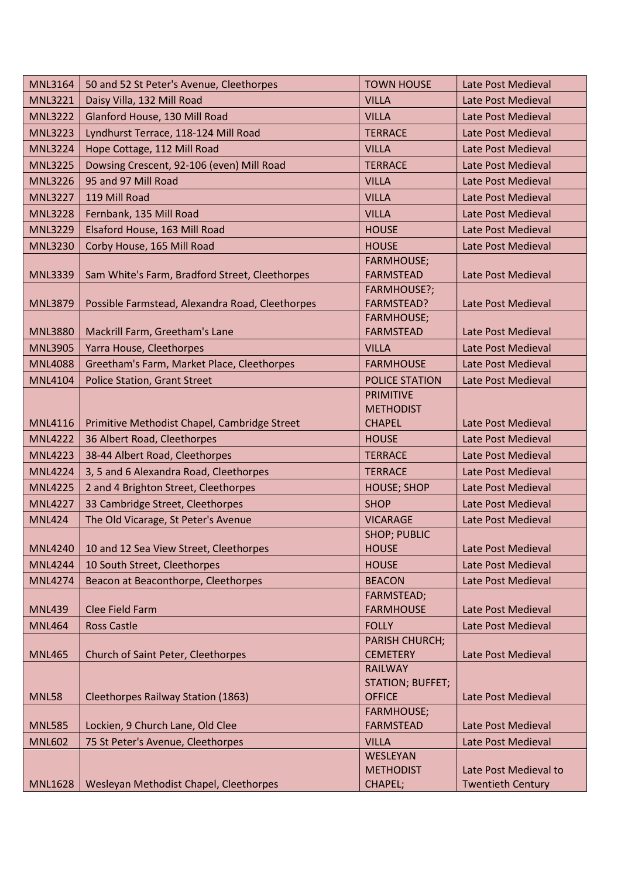| <b>MNL3164</b> | 50 and 52 St Peter's Avenue, Cleethorpes        | <b>TOWN HOUSE</b>                      | Late Post Medieval                                |
|----------------|-------------------------------------------------|----------------------------------------|---------------------------------------------------|
| <b>MNL3221</b> | Daisy Villa, 132 Mill Road                      | <b>VILLA</b>                           | Late Post Medieval                                |
| <b>MNL3222</b> | Glanford House, 130 Mill Road                   | <b>VILLA</b>                           | Late Post Medieval                                |
| <b>MNL3223</b> | Lyndhurst Terrace, 118-124 Mill Road            | <b>TERRACE</b>                         | Late Post Medieval                                |
| <b>MNL3224</b> | Hope Cottage, 112 Mill Road                     | <b>VILLA</b>                           | Late Post Medieval                                |
| <b>MNL3225</b> | Dowsing Crescent, 92-106 (even) Mill Road       | <b>TERRACE</b>                         | Late Post Medieval                                |
| <b>MNL3226</b> | 95 and 97 Mill Road                             | <b>VILLA</b>                           | Late Post Medieval                                |
| <b>MNL3227</b> | 119 Mill Road                                   | <b>VILLA</b>                           | Late Post Medieval                                |
| <b>MNL3228</b> | Fernbank, 135 Mill Road                         | <b>VILLA</b>                           | Late Post Medieval                                |
| <b>MNL3229</b> | Elsaford House, 163 Mill Road                   | <b>HOUSE</b>                           | Late Post Medieval                                |
| <b>MNL3230</b> | Corby House, 165 Mill Road                      | <b>HOUSE</b>                           | Late Post Medieval                                |
|                |                                                 | <b>FARMHOUSE;</b>                      |                                                   |
| <b>MNL3339</b> | Sam White's Farm, Bradford Street, Cleethorpes  | <b>FARMSTEAD</b>                       | Late Post Medieval                                |
|                |                                                 | FARMHOUSE?;                            |                                                   |
| <b>MNL3879</b> | Possible Farmstead, Alexandra Road, Cleethorpes | <b>FARMSTEAD?</b><br><b>FARMHOUSE;</b> | Late Post Medieval                                |
| <b>MNL3880</b> | Mackrill Farm, Greetham's Lane                  | <b>FARMSTEAD</b>                       | Late Post Medieval                                |
| <b>MNL3905</b> | Yarra House, Cleethorpes                        | <b>VILLA</b>                           | Late Post Medieval                                |
| <b>MNL4088</b> | Greetham's Farm, Market Place, Cleethorpes      | <b>FARMHOUSE</b>                       | Late Post Medieval                                |
| <b>MNL4104</b> | <b>Police Station, Grant Street</b>             | <b>POLICE STATION</b>                  | Late Post Medieval                                |
|                |                                                 | <b>PRIMITIVE</b>                       |                                                   |
|                |                                                 | <b>METHODIST</b>                       |                                                   |
| <b>MNL4116</b> | Primitive Methodist Chapel, Cambridge Street    | <b>CHAPEL</b>                          | Late Post Medieval                                |
| <b>MNL4222</b> | 36 Albert Road, Cleethorpes                     | <b>HOUSE</b>                           | Late Post Medieval                                |
| <b>MNL4223</b> | 38-44 Albert Road, Cleethorpes                  | <b>TERRACE</b>                         | Late Post Medieval                                |
| <b>MNL4224</b> | 3, 5 and 6 Alexandra Road, Cleethorpes          | <b>TERRACE</b>                         | Late Post Medieval                                |
| <b>MNL4225</b> | 2 and 4 Brighton Street, Cleethorpes            | <b>HOUSE; SHOP</b>                     | Late Post Medieval                                |
| <b>MNL4227</b> | 33 Cambridge Street, Cleethorpes                | <b>SHOP</b>                            | Late Post Medieval                                |
| <b>MNL424</b>  | The Old Vicarage, St Peter's Avenue             | <b>VICARAGE</b>                        | Late Post Medieval                                |
|                |                                                 | <b>SHOP; PUBLIC</b>                    |                                                   |
| <b>MNL4240</b> | 10 and 12 Sea View Street, Cleethorpes          | <b>HOUSE</b>                           | Late Post Medieval                                |
| <b>MNL4244</b> | 10 South Street, Cleethorpes                    | <b>HOUSE</b>                           | Late Post Medieval                                |
| <b>MNL4274</b> | Beacon at Beaconthorpe, Cleethorpes             | <b>BEACON</b>                          | Late Post Medieval                                |
| <b>MNL439</b>  | <b>Clee Field Farm</b>                          | FARMSTEAD;<br><b>FARMHOUSE</b>         | Late Post Medieval                                |
| <b>MNL464</b>  | <b>Ross Castle</b>                              | <b>FOLLY</b>                           | Late Post Medieval                                |
|                |                                                 | <b>PARISH CHURCH;</b>                  |                                                   |
| <b>MNL465</b>  | <b>Church of Saint Peter, Cleethorpes</b>       | <b>CEMETERY</b>                        | Late Post Medieval                                |
|                |                                                 | <b>RAILWAY</b>                         |                                                   |
|                |                                                 | <b>STATION; BUFFET;</b>                |                                                   |
| <b>MNL58</b>   | <b>Cleethorpes Railway Station (1863)</b>       | <b>OFFICE</b>                          | Late Post Medieval                                |
|                |                                                 | <b>FARMHOUSE;</b>                      |                                                   |
| <b>MNL585</b>  | Lockien, 9 Church Lane, Old Clee                | <b>FARMSTEAD</b>                       | Late Post Medieval                                |
| <b>MNL602</b>  | 75 St Peter's Avenue, Cleethorpes               | <b>VILLA</b>                           | Late Post Medieval                                |
|                |                                                 | WESLEYAN                               |                                                   |
| <b>MNL1628</b> | Wesleyan Methodist Chapel, Cleethorpes          | <b>METHODIST</b><br>CHAPEL;            | Late Post Medieval to<br><b>Twentieth Century</b> |
|                |                                                 |                                        |                                                   |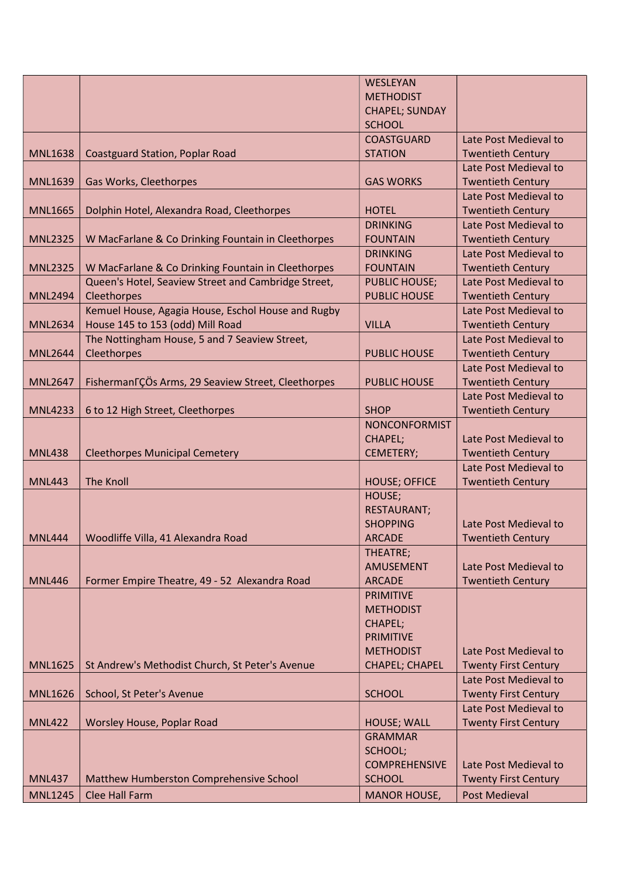|                |                                                                 | WESLEYAN              |                             |
|----------------|-----------------------------------------------------------------|-----------------------|-----------------------------|
|                |                                                                 | <b>METHODIST</b>      |                             |
|                |                                                                 | <b>CHAPEL; SUNDAY</b> |                             |
|                |                                                                 | <b>SCHOOL</b>         |                             |
|                |                                                                 | <b>COASTGUARD</b>     | Late Post Medieval to       |
| <b>MNL1638</b> | <b>Coastguard Station, Poplar Road</b>                          | <b>STATION</b>        | <b>Twentieth Century</b>    |
|                |                                                                 |                       | Late Post Medieval to       |
| <b>MNL1639</b> | Gas Works, Cleethorpes                                          | <b>GAS WORKS</b>      | <b>Twentieth Century</b>    |
|                |                                                                 |                       | Late Post Medieval to       |
| <b>MNL1665</b> | Dolphin Hotel, Alexandra Road, Cleethorpes                      | <b>HOTEL</b>          | <b>Twentieth Century</b>    |
|                |                                                                 | <b>DRINKING</b>       | Late Post Medieval to       |
| <b>MNL2325</b> | W MacFarlane & Co Drinking Fountain in Cleethorpes              | <b>FOUNTAIN</b>       | <b>Twentieth Century</b>    |
|                |                                                                 | <b>DRINKING</b>       | Late Post Medieval to       |
| <b>MNL2325</b> | W MacFarlane & Co Drinking Fountain in Cleethorpes              | <b>FOUNTAIN</b>       | <b>Twentieth Century</b>    |
|                | Queen's Hotel, Seaview Street and Cambridge Street,             | <b>PUBLIC HOUSE;</b>  | Late Post Medieval to       |
| <b>MNL2494</b> | Cleethorpes                                                     | <b>PUBLIC HOUSE</b>   | <b>Twentieth Century</b>    |
|                | Kemuel House, Agagia House, Eschol House and Rugby              |                       | Late Post Medieval to       |
| <b>MNL2634</b> | House 145 to 153 (odd) Mill Road                                | <b>VILLA</b>          | <b>Twentieth Century</b>    |
|                | The Nottingham House, 5 and 7 Seaview Street,                   |                       | Late Post Medieval to       |
| <b>MNL2644</b> | Cleethorpes                                                     | <b>PUBLIC HOUSE</b>   | <b>Twentieth Century</b>    |
|                |                                                                 |                       | Late Post Medieval to       |
| <b>MNL2647</b> | Fisherman <sub>F</sub> ÇÖs Arms, 29 Seaview Street, Cleethorpes | <b>PUBLIC HOUSE</b>   | <b>Twentieth Century</b>    |
|                |                                                                 |                       | Late Post Medieval to       |
| <b>MNL4233</b> | 6 to 12 High Street, Cleethorpes                                | <b>SHOP</b>           | <b>Twentieth Century</b>    |
|                |                                                                 | <b>NONCONFORMIST</b>  | Late Post Medieval to       |
| <b>MNL438</b>  | <b>Cleethorpes Municipal Cemetery</b>                           | CHAPEL;<br>CEMETERY;  | <b>Twentieth Century</b>    |
|                |                                                                 |                       | Late Post Medieval to       |
| <b>MNL443</b>  | The Knoll                                                       | <b>HOUSE; OFFICE</b>  | <b>Twentieth Century</b>    |
|                |                                                                 | HOUSE;                |                             |
|                |                                                                 | <b>RESTAURANT;</b>    |                             |
|                |                                                                 | <b>SHOPPING</b>       | Late Post Medieval to       |
| <b>MNL444</b>  | Woodliffe Villa, 41 Alexandra Road                              | <b>ARCADE</b>         | <b>Twentieth Century</b>    |
|                |                                                                 | THEATRE;              |                             |
|                |                                                                 | <b>AMUSEMENT</b>      | Late Post Medieval to       |
| <b>MNL446</b>  | Former Empire Theatre, 49 - 52 Alexandra Road                   | <b>ARCADE</b>         | <b>Twentieth Century</b>    |
|                |                                                                 | <b>PRIMITIVE</b>      |                             |
|                |                                                                 | <b>METHODIST</b>      |                             |
|                |                                                                 | CHAPEL;               |                             |
|                |                                                                 | <b>PRIMITIVE</b>      |                             |
|                |                                                                 | <b>METHODIST</b>      | Late Post Medieval to       |
| <b>MNL1625</b> | St Andrew's Methodist Church, St Peter's Avenue                 | <b>CHAPEL; CHAPEL</b> | <b>Twenty First Century</b> |
|                |                                                                 |                       | Late Post Medieval to       |
| <b>MNL1626</b> | School, St Peter's Avenue                                       | <b>SCHOOL</b>         | <b>Twenty First Century</b> |
|                |                                                                 |                       | Late Post Medieval to       |
| <b>MNL422</b>  | Worsley House, Poplar Road                                      | <b>HOUSE; WALL</b>    | <b>Twenty First Century</b> |
|                |                                                                 | <b>GRAMMAR</b>        |                             |
|                |                                                                 | SCHOOL;               |                             |
|                |                                                                 | <b>COMPREHENSIVE</b>  | Late Post Medieval to       |
| <b>MNL437</b>  | Matthew Humberston Comprehensive School                         | <b>SCHOOL</b>         | <b>Twenty First Century</b> |
| <b>MNL1245</b> | <b>Clee Hall Farm</b>                                           | <b>MANOR HOUSE,</b>   | <b>Post Medieval</b>        |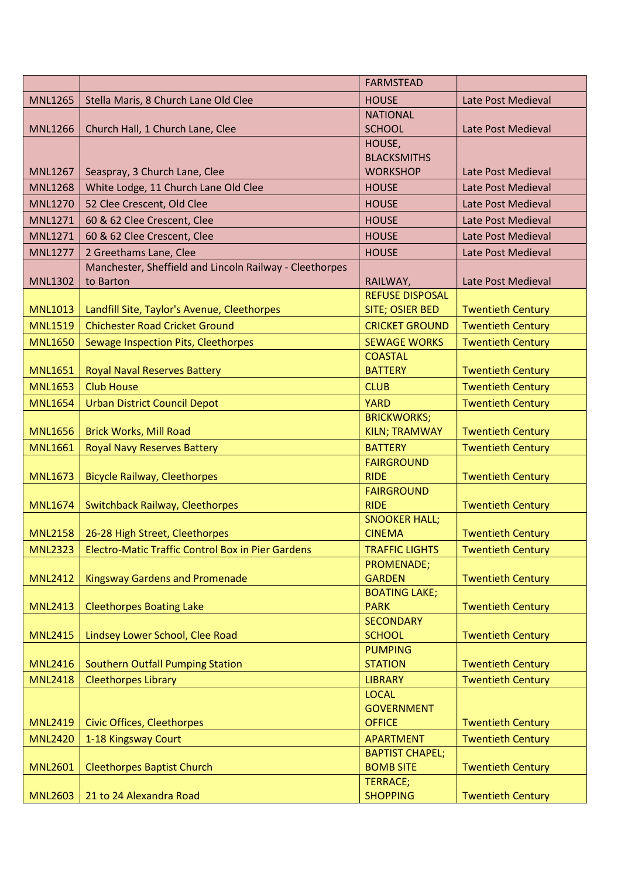|                |                                                          | <b>FARMSTEAD</b>                   |                          |
|----------------|----------------------------------------------------------|------------------------------------|--------------------------|
| <b>MNL1265</b> | Stella Maris, 8 Church Lane Old Clee                     | <b>HOUSE</b>                       | Late Post Medieval       |
|                |                                                          | <b>NATIONAL</b>                    |                          |
| <b>MNL1266</b> | Church Hall, 1 Church Lane, Clee                         | <b>SCHOOL</b>                      | Late Post Medieval       |
|                |                                                          | HOUSE,                             |                          |
|                |                                                          | <b>BLACKSMITHS</b>                 |                          |
| <b>MNL1267</b> | Seaspray, 3 Church Lane, Clee                            | <b>WORKSHOP</b>                    | Late Post Medieval       |
| <b>MNL1268</b> | White Lodge, 11 Church Lane Old Clee                     | <b>HOUSE</b>                       | Late Post Medieval       |
| <b>MNL1270</b> | 52 Clee Crescent, Old Clee                               | <b>HOUSE</b>                       | Late Post Medieval       |
| <b>MNL1271</b> | 60 & 62 Clee Crescent, Clee                              | <b>HOUSE</b>                       | Late Post Medieval       |
| <b>MNL1271</b> | 60 & 62 Clee Crescent, Clee                              | <b>HOUSE</b>                       | Late Post Medieval       |
| <b>MNL1277</b> | 2 Greethams Lane, Clee                                   | <b>HOUSE</b>                       | Late Post Medieval       |
|                | Manchester, Sheffield and Lincoln Railway - Cleethorpes  |                                    |                          |
| <b>MNL1302</b> | to Barton                                                | RAILWAY,                           | Late Post Medieval       |
|                |                                                          | <b>REFUSE DISPOSAL</b>             |                          |
| <b>MNL1013</b> | Landfill Site, Taylor's Avenue, Cleethorpes              | SITE; OSIER BED                    | <b>Twentieth Century</b> |
| <b>MNL1519</b> | <b>Chichester Road Cricket Ground</b>                    | <b>CRICKET GROUND</b>              | <b>Twentieth Century</b> |
| <b>MNL1650</b> | Sewage Inspection Pits, Cleethorpes                      | <b>SEWAGE WORKS</b>                | <b>Twentieth Century</b> |
|                |                                                          | <b>COASTAL</b>                     |                          |
| <b>MNL1651</b> | <b>Royal Naval Reserves Battery</b>                      | <b>BATTERY</b>                     | <b>Twentieth Century</b> |
| <b>MNL1653</b> | <b>Club House</b>                                        | <b>CLUB</b>                        | <b>Twentieth Century</b> |
| <b>MNL1654</b> | <b>Urban District Council Depot</b>                      | <b>YARD</b>                        | <b>Twentieth Century</b> |
|                |                                                          | <b>BRICKWORKS;</b>                 |                          |
| <b>MNL1656</b> | <b>Brick Works, Mill Road</b>                            | <b>KILN; TRAMWAY</b>               | <b>Twentieth Century</b> |
| <b>MNL1661</b> | <b>Royal Navy Reserves Battery</b>                       | <b>BATTERY</b>                     | <b>Twentieth Century</b> |
|                |                                                          | <b>FAIRGROUND</b>                  |                          |
| <b>MNL1673</b> | <b>Bicycle Railway, Cleethorpes</b>                      | <b>RIDE</b>                        | <b>Twentieth Century</b> |
| <b>MNL1674</b> |                                                          | <b>FAIRGROUND</b><br><b>RIDE</b>   | <b>Twentieth Century</b> |
|                | Switchback Railway, Cleethorpes                          | <b>SNOOKER HALL;</b>               |                          |
| MNL2158        | 26-28 High Street, Cleethorpes                           | <b>CINEMA</b>                      | <b>Twentieth Century</b> |
| <b>MNL2323</b> | <b>Electro-Matic Traffic Control Box in Pier Gardens</b> | <b>TRAFFIC LIGHTS</b>              | <b>Twentieth Century</b> |
|                |                                                          | PROMENADE;                         |                          |
| <b>MNL2412</b> | <b>Kingsway Gardens and Promenade</b>                    | <b>GARDEN</b>                      | <b>Twentieth Century</b> |
|                |                                                          | <b>BOATING LAKE;</b>               |                          |
| <b>MNL2413</b> | <b>Cleethorpes Boating Lake</b>                          | <b>PARK</b>                        | <b>Twentieth Century</b> |
|                |                                                          | <b>SECONDARY</b>                   |                          |
| <b>MNL2415</b> | Lindsey Lower School, Clee Road                          | <b>SCHOOL</b>                      | <b>Twentieth Century</b> |
|                |                                                          | <b>PUMPING</b>                     |                          |
| <b>MNL2416</b> | <b>Southern Outfall Pumping Station</b>                  | <b>STATION</b>                     | <b>Twentieth Century</b> |
| <b>MNL2418</b> | <b>Cleethorpes Library</b>                               | <b>LIBRARY</b>                     | <b>Twentieth Century</b> |
|                |                                                          | <b>LOCAL</b>                       |                          |
| <b>MNL2419</b> | <b>Civic Offices, Cleethorpes</b>                        | <b>GOVERNMENT</b><br><b>OFFICE</b> | <b>Twentieth Century</b> |
|                |                                                          | <b>APARTMENT</b>                   |                          |
| <b>MNL2420</b> | 1-18 Kingsway Court                                      | <b>BAPTIST CHAPEL;</b>             | <b>Twentieth Century</b> |
| <b>MNL2601</b> | <b>Cleethorpes Baptist Church</b>                        | <b>BOMB SITE</b>                   | <b>Twentieth Century</b> |
|                |                                                          | <b>TERRACE;</b>                    |                          |
| <b>MNL2603</b> | 21 to 24 Alexandra Road                                  | <b>SHOPPING</b>                    | <b>Twentieth Century</b> |
|                |                                                          |                                    |                          |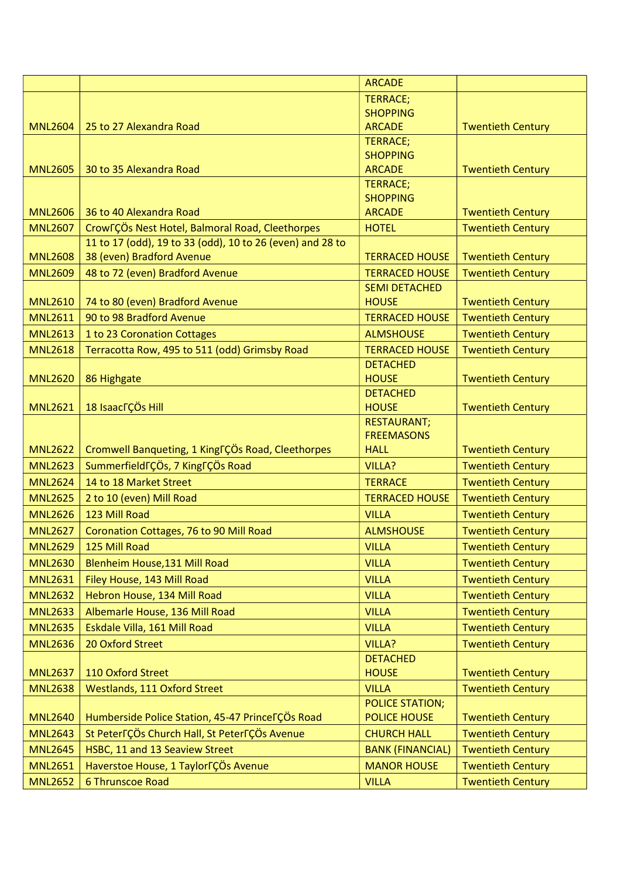|                |                                                           | <b>ARCADE</b>           |                          |
|----------------|-----------------------------------------------------------|-------------------------|--------------------------|
|                |                                                           | <b>TERRACE;</b>         |                          |
|                |                                                           | <b>SHOPPING</b>         |                          |
| <b>MNL2604</b> | 25 to 27 Alexandra Road                                   | <b>ARCADE</b>           | <b>Twentieth Century</b> |
|                |                                                           | <b>TERRACE;</b>         |                          |
|                |                                                           | <b>SHOPPING</b>         |                          |
| <b>MNL2605</b> | 30 to 35 Alexandra Road                                   | <b>ARCADE</b>           | <b>Twentieth Century</b> |
|                |                                                           | <b>TERRACE;</b>         |                          |
|                |                                                           | <b>SHOPPING</b>         |                          |
| <b>MNL2606</b> | 36 to 40 Alexandra Road                                   | <b>ARCADE</b>           | <b>Twentieth Century</b> |
| <b>MNL2607</b> | CrowFÇÖs Nest Hotel, Balmoral Road, Cleethorpes           | <b>HOTEL</b>            | <b>Twentieth Century</b> |
|                | 11 to 17 (odd), 19 to 33 (odd), 10 to 26 (even) and 28 to |                         |                          |
| <b>MNL2608</b> | 38 (even) Bradford Avenue                                 | <b>TERRACED HOUSE</b>   | <b>Twentieth Century</b> |
| <b>MNL2609</b> | 48 to 72 (even) Bradford Avenue                           | <b>TERRACED HOUSE</b>   | <b>Twentieth Century</b> |
|                |                                                           | <b>SEMI DETACHED</b>    |                          |
| <b>MNL2610</b> | 74 to 80 (even) Bradford Avenue                           | <b>HOUSE</b>            | <b>Twentieth Century</b> |
| <b>MNL2611</b> | 90 to 98 Bradford Avenue                                  | <b>TERRACED HOUSE</b>   | <b>Twentieth Century</b> |
| <b>MNL2613</b> | 1 to 23 Coronation Cottages                               | <b>ALMSHOUSE</b>        | <b>Twentieth Century</b> |
| <b>MNL2618</b> | Terracotta Row, 495 to 511 (odd) Grimsby Road             | <b>TERRACED HOUSE</b>   | <b>Twentieth Century</b> |
|                |                                                           | <b>DETACHED</b>         |                          |
| <b>MNL2620</b> | 86 Highgate                                               | <b>HOUSE</b>            | <b>Twentieth Century</b> |
|                |                                                           | <b>DETACHED</b>         |                          |
| <b>MNL2621</b> | 18 Isaac <sub>r</sub> ÇÖs Hill                            | <b>HOUSE</b>            | <b>Twentieth Century</b> |
|                |                                                           | <b>RESTAURANT;</b>      |                          |
|                |                                                           | <b>FREEMASONS</b>       |                          |
| <b>MNL2622</b> | Cromwell Banqueting, 1 King TÇÖs Road, Cleethorpes        | <b>HALL</b>             | <b>Twentieth Century</b> |
| <b>MNL2623</b> | Summerfield TÇÖs, 7 King TÇÖs Road                        | <b>VILLA?</b>           | <b>Twentieth Century</b> |
| <b>MNL2624</b> | 14 to 18 Market Street                                    | <b>TERRACE</b>          | <b>Twentieth Century</b> |
| <b>MNL2625</b> | 2 to 10 (even) Mill Road                                  | <b>TERRACED HOUSE</b>   | <b>Twentieth Century</b> |
| <b>MNL2626</b> | 123 Mill Road                                             | <b>VILLA</b>            | <b>Twentieth Century</b> |
| <b>MNL2627</b> | Coronation Cottages, 76 to 90 Mill Road                   | <b>ALMSHOUSE</b>        | <b>Twentieth Century</b> |
| <b>MNL2629</b> | 125 Mill Road                                             | <b>VILLA</b>            | <b>Twentieth Century</b> |
| <b>MNL2630</b> | Blenheim House, 131 Mill Road                             | <b>VILLA</b>            | <b>Twentieth Century</b> |
| <b>MNL2631</b> | Filey House, 143 Mill Road                                | <b>VILLA</b>            | <b>Twentieth Century</b> |
| <b>MNL2632</b> | Hebron House, 134 Mill Road                               | <b>VILLA</b>            | <b>Twentieth Century</b> |
| <b>MNL2633</b> | Albemarle House, 136 Mill Road                            | <b>VILLA</b>            | <b>Twentieth Century</b> |
| <b>MNL2635</b> | Eskdale Villa, 161 Mill Road                              | <b>VILLA</b>            | <b>Twentieth Century</b> |
| <b>MNL2636</b> | 20 Oxford Street                                          | VILLA?                  | <b>Twentieth Century</b> |
|                |                                                           | <b>DETACHED</b>         |                          |
| <b>MNL2637</b> | 110 Oxford Street                                         | <b>HOUSE</b>            | <b>Twentieth Century</b> |
| <b>MNL2638</b> | <b>Westlands, 111 Oxford Street</b>                       | <b>VILLA</b>            | <b>Twentieth Century</b> |
|                |                                                           | <b>POLICE STATION;</b>  |                          |
| <b>MNL2640</b> | Humberside Police Station, 45-47 Princel COs Road         | <b>POLICE HOUSE</b>     | <b>Twentieth Century</b> |
| <b>MNL2643</b> | St Peter TÇÖs Church Hall, St Peter TÇÖs Avenue           | <b>CHURCH HALL</b>      | <b>Twentieth Century</b> |
| <b>MNL2645</b> | HSBC, 11 and 13 Seaview Street                            | <b>BANK (FINANCIAL)</b> | <b>Twentieth Century</b> |
| <b>MNL2651</b> | Haverstoe House, 1 Taylor TÇÖs Avenue                     | <b>MANOR HOUSE</b>      | <b>Twentieth Century</b> |
|                |                                                           | <b>VILLA</b>            | <b>Twentieth Century</b> |
| <b>MNL2652</b> | 6 Thrunscoe Road                                          |                         |                          |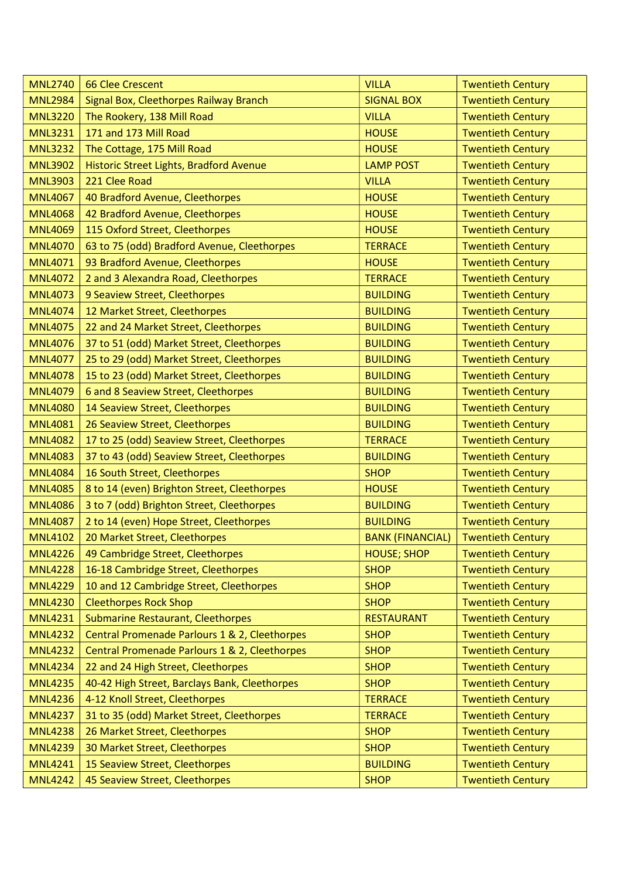| <b>MNL2740</b> | <b>66 Clee Crescent</b>                       | <b>VILLA</b>            | <b>Twentieth Century</b> |
|----------------|-----------------------------------------------|-------------------------|--------------------------|
| <b>MNL2984</b> | Signal Box, Cleethorpes Railway Branch        | <b>SIGNAL BOX</b>       | <b>Twentieth Century</b> |
| <b>MNL3220</b> | The Rookery, 138 Mill Road                    | <b>VILLA</b>            | <b>Twentieth Century</b> |
| <b>MNL3231</b> | 171 and 173 Mill Road                         | <b>HOUSE</b>            | <b>Twentieth Century</b> |
| <b>MNL3232</b> | The Cottage, 175 Mill Road                    | <b>HOUSE</b>            | <b>Twentieth Century</b> |
| <b>MNL3902</b> | Historic Street Lights, Bradford Avenue       | <b>LAMP POST</b>        | <b>Twentieth Century</b> |
| <b>MNL3903</b> | 221 Clee Road                                 | <b>VILLA</b>            | <b>Twentieth Century</b> |
| <b>MNL4067</b> | 40 Bradford Avenue, Cleethorpes               | <b>HOUSE</b>            | <b>Twentieth Century</b> |
| <b>MNL4068</b> | 42 Bradford Avenue, Cleethorpes               | <b>HOUSE</b>            | <b>Twentieth Century</b> |
| <b>MNL4069</b> | 115 Oxford Street, Cleethorpes                | <b>HOUSE</b>            | <b>Twentieth Century</b> |
| <b>MNL4070</b> | 63 to 75 (odd) Bradford Avenue, Cleethorpes   | <b>TERRACE</b>          | <b>Twentieth Century</b> |
| <b>MNL4071</b> | 93 Bradford Avenue, Cleethorpes               | <b>HOUSE</b>            | <b>Twentieth Century</b> |
| <b>MNL4072</b> | 2 and 3 Alexandra Road, Cleethorpes           | <b>TERRACE</b>          | <b>Twentieth Century</b> |
| <b>MNL4073</b> | 9 Seaview Street, Cleethorpes                 | <b>BUILDING</b>         | <b>Twentieth Century</b> |
| <b>MNL4074</b> | 12 Market Street, Cleethorpes                 | <b>BUILDING</b>         | <b>Twentieth Century</b> |
| <b>MNL4075</b> | 22 and 24 Market Street, Cleethorpes          | <b>BUILDING</b>         | <b>Twentieth Century</b> |
| <b>MNL4076</b> | 37 to 51 (odd) Market Street, Cleethorpes     | <b>BUILDING</b>         | <b>Twentieth Century</b> |
| <b>MNL4077</b> | 25 to 29 (odd) Market Street, Cleethorpes     | <b>BUILDING</b>         | <b>Twentieth Century</b> |
| <b>MNL4078</b> | 15 to 23 (odd) Market Street, Cleethorpes     | <b>BUILDING</b>         | <b>Twentieth Century</b> |
| <b>MNL4079</b> | 6 and 8 Seaview Street, Cleethorpes           | <b>BUILDING</b>         | <b>Twentieth Century</b> |
| <b>MNL4080</b> | 14 Seaview Street, Cleethorpes                | <b>BUILDING</b>         | <b>Twentieth Century</b> |
| <b>MNL4081</b> | 26 Seaview Street, Cleethorpes                | <b>BUILDING</b>         | <b>Twentieth Century</b> |
| <b>MNL4082</b> | 17 to 25 (odd) Seaview Street, Cleethorpes    | <b>TERRACE</b>          | <b>Twentieth Century</b> |
| <b>MNL4083</b> | 37 to 43 (odd) Seaview Street, Cleethorpes    | <b>BUILDING</b>         | <b>Twentieth Century</b> |
| <b>MNL4084</b> | 16 South Street, Cleethorpes                  | <b>SHOP</b>             | <b>Twentieth Century</b> |
| <b>MNL4085</b> | 8 to 14 (even) Brighton Street, Cleethorpes   | <b>HOUSE</b>            | <b>Twentieth Century</b> |
| <b>MNL4086</b> | 3 to 7 (odd) Brighton Street, Cleethorpes     | <b>BUILDING</b>         | <b>Twentieth Century</b> |
| <b>MNL4087</b> | 2 to 14 (even) Hope Street, Cleethorpes       | <b>BUILDING</b>         | <b>Twentieth Century</b> |
| <b>MNL4102</b> | 20 Market Street, Cleethorpes                 | <b>BANK (FINANCIAL)</b> | <b>Twentieth Century</b> |
| <b>MNL4226</b> | 49 Cambridge Street, Cleethorpes              | <b>HOUSE; SHOP</b>      | <b>Twentieth Century</b> |
| <b>MNL4228</b> | 16-18 Cambridge Street, Cleethorpes           | <b>SHOP</b>             | <b>Twentieth Century</b> |
| <b>MNL4229</b> | 10 and 12 Cambridge Street, Cleethorpes       | <b>SHOP</b>             | <b>Twentieth Century</b> |
| <b>MNL4230</b> | <b>Cleethorpes Rock Shop</b>                  | <b>SHOP</b>             | <b>Twentieth Century</b> |
| <b>MNL4231</b> | <b>Submarine Restaurant, Cleethorpes</b>      | <b>RESTAURANT</b>       | <b>Twentieth Century</b> |
| <b>MNL4232</b> | Central Promenade Parlours 1 & 2, Cleethorpes | <b>SHOP</b>             | <b>Twentieth Century</b> |
| <b>MNL4232</b> | Central Promenade Parlours 1 & 2, Cleethorpes | <b>SHOP</b>             | <b>Twentieth Century</b> |
| <b>MNL4234</b> | 22 and 24 High Street, Cleethorpes            | <b>SHOP</b>             | <b>Twentieth Century</b> |
| <b>MNL4235</b> | 40-42 High Street, Barclays Bank, Cleethorpes | <b>SHOP</b>             | <b>Twentieth Century</b> |
| <b>MNL4236</b> | 4-12 Knoll Street, Cleethorpes                | <b>TERRACE</b>          | <b>Twentieth Century</b> |
| <b>MNL4237</b> | 31 to 35 (odd) Market Street, Cleethorpes     | <b>TERRACE</b>          | <b>Twentieth Century</b> |
| <b>MNL4238</b> | 26 Market Street, Cleethorpes                 | <b>SHOP</b>             | <b>Twentieth Century</b> |
| <b>MNL4239</b> | 30 Market Street, Cleethorpes                 | <b>SHOP</b>             | <b>Twentieth Century</b> |
| <b>MNL4241</b> | 15 Seaview Street, Cleethorpes                | <b>BUILDING</b>         | <b>Twentieth Century</b> |
| <b>MNL4242</b> | 45 Seaview Street, Cleethorpes                | <b>SHOP</b>             | <b>Twentieth Century</b> |